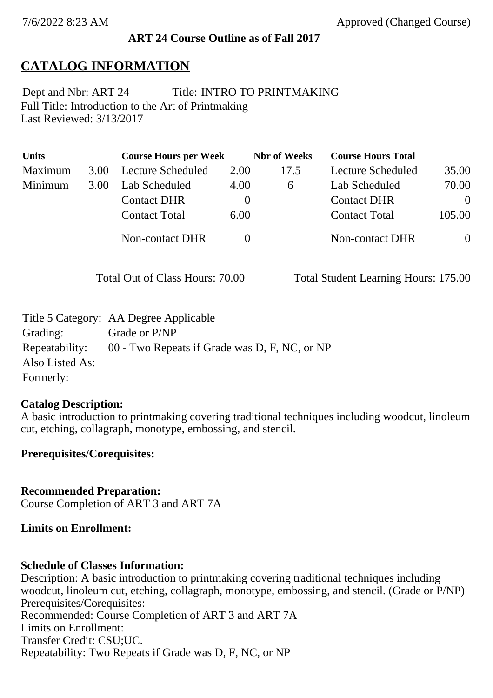#### **ART 24 Course Outline as of Fall 2017**

## **CATALOG INFORMATION**

Full Title: Introduction to the Art of Printmaking Last Reviewed: 3/13/2017 Dept and Nbr: ART 24 Title: INTRO TO PRINTMAKING

| <b>Units</b> |      | <b>Course Hours per Week</b> |          | <b>Nbr</b> of Weeks | <b>Course Hours Total</b> |          |
|--------------|------|------------------------------|----------|---------------------|---------------------------|----------|
| Maximum      | 3.00 | Lecture Scheduled            | 2.00     | 17.5                | Lecture Scheduled         | 35.00    |
| Minimum      | 3.00 | Lab Scheduled                | 4.00     | 6                   | Lab Scheduled             | 70.00    |
|              |      | <b>Contact DHR</b>           | $\theta$ |                     | <b>Contact DHR</b>        | $\Omega$ |
|              |      | <b>Contact Total</b>         | 6.00     |                     | <b>Contact Total</b>      | 105.00   |
|              |      | Non-contact DHR              |          |                     | <b>Non-contact DHR</b>    | $\theta$ |

Total Out of Class Hours: 70.00 Total Student Learning Hours: 175.00

|                 | Title 5 Category: AA Degree Applicable        |
|-----------------|-----------------------------------------------|
| Grading:        | Grade or P/NP                                 |
| Repeatability:  | 00 - Two Repeats if Grade was D, F, NC, or NP |
| Also Listed As: |                                               |
| Formerly:       |                                               |

#### **Catalog Description:**

A basic introduction to printmaking covering traditional techniques including woodcut, linoleum cut, etching, collagraph, monotype, embossing, and stencil.

#### **Prerequisites/Corequisites:**

**Recommended Preparation:** Course Completion of ART 3 and ART 7A

#### **Limits on Enrollment:**

#### **Schedule of Classes Information:**

Description: A basic introduction to printmaking covering traditional techniques including woodcut, linoleum cut, etching, collagraph, monotype, embossing, and stencil. (Grade or P/NP) Prerequisites/Corequisites: Recommended: Course Completion of ART 3 and ART 7A Limits on Enrollment: Transfer Credit: CSU;UC. Repeatability: Two Repeats if Grade was D, F, NC, or NP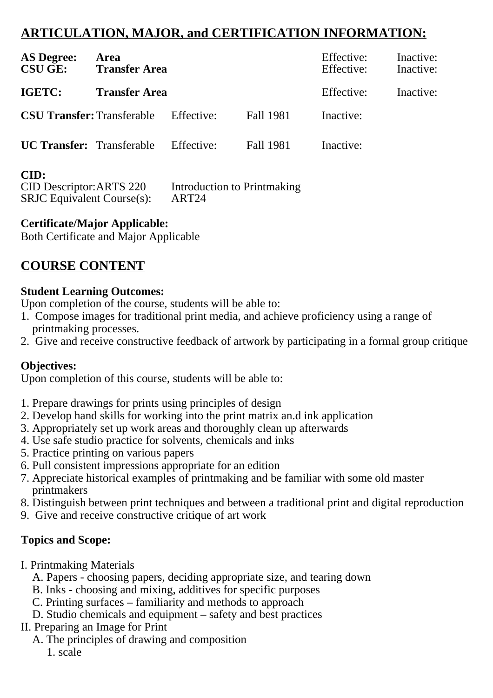# **ARTICULATION, MAJOR, and CERTIFICATION INFORMATION:**

| <b>AS Degree:</b><br><b>CSU GE:</b>          | Area<br><b>Transfer Area</b> |            |                  | Effective:<br>Effective: | Inactive:<br>Inactive: |
|----------------------------------------------|------------------------------|------------|------------------|--------------------------|------------------------|
| IGETC:                                       | <b>Transfer Area</b>         |            |                  | Effective:               | Inactive:              |
| <b>CSU Transfer:</b> Transferable Effective: |                              |            | <b>Fall 1981</b> | Inactive:                |                        |
| <b>UC Transfer:</b> Transferable             |                              | Effective: | <b>Fall 1981</b> | Inactive:                |                        |

### **CID:**

| <b>CID Descriptor: ARTS 220</b>  | Introduction to Printmaking |
|----------------------------------|-----------------------------|
| $SRJC$ Equivalent Course $(s)$ : | ART <sub>24</sub>           |

### **Certificate/Major Applicable:**

[Both Certificate and Major Applicable](SR_ClassCheck.aspx?CourseKey=ART24)

# **COURSE CONTENT**

### **Student Learning Outcomes:**

Upon completion of the course, students will be able to:

- 1. Compose images for traditional print media, and achieve proficiency using a range of printmaking processes.
- 2. Give and receive constructive feedback of artwork by participating in a formal group critique

## **Objectives:**

Upon completion of this course, students will be able to:

- 1. Prepare drawings for prints using principles of design
- 2. Develop hand skills for working into the print matrix an.d ink application
- 3. Appropriately set up work areas and thoroughly clean up afterwards
- 4. Use safe studio practice for solvents, chemicals and inks
- 5. Practice printing on various papers
- 6. Pull consistent impressions appropriate for an edition
- 7. Appreciate historical examples of printmaking and be familiar with some old master printmakers
- 8. Distinguish between print techniques and between a traditional print and digital reproduction
- 9. Give and receive constructive critique of art work

## **Topics and Scope:**

- I. Printmaking Materials
	- A. Papers choosing papers, deciding appropriate size, and tearing down
	- B. Inks choosing and mixing, additives for specific purposes
	- C. Printing surfaces familiarity and methods to approach
	- D. Studio chemicals and equipment safety and best practices
- II. Preparing an Image for Print
	- A. The principles of drawing and composition
		- 1. scale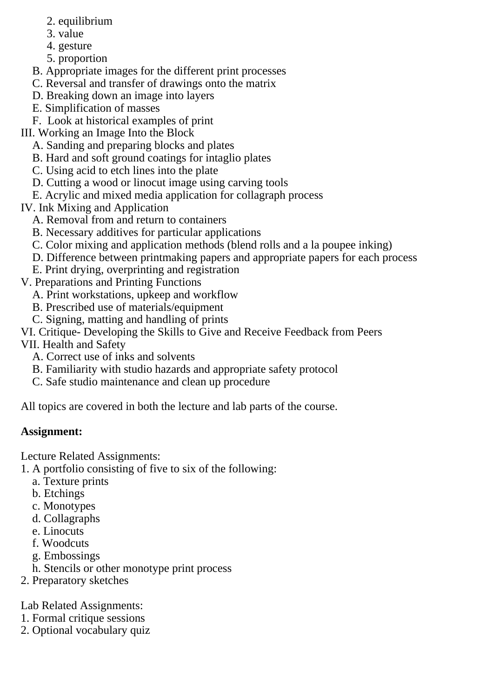- 2. equilibrium
- 3. value
- 4. gesture
- 5. proportion
- B. Appropriate images for the different print processes
- C. Reversal and transfer of drawings onto the matrix
- D. Breaking down an image into layers
- E. Simplification of masses
- F. Look at historical examples of print
- III. Working an Image Into the Block
	- A. Sanding and preparing blocks and plates
	- B. Hard and soft ground coatings for intaglio plates
	- C. Using acid to etch lines into the plate
	- D. Cutting a wood or linocut image using carving tools
	- E. Acrylic and mixed media application for collagraph process
- IV. Ink Mixing and Application
	- A. Removal from and return to containers
	- B. Necessary additives for particular applications
	- C. Color mixing and application methods (blend rolls and a la poupee inking)
	- D. Difference between printmaking papers and appropriate papers for each process
	- E. Print drying, overprinting and registration
- V. Preparations and Printing Functions
	- A. Print workstations, upkeep and workflow
	- B. Prescribed use of materials/equipment
	- C. Signing, matting and handling of prints
- VI. Critique- Developing the Skills to Give and Receive Feedback from Peers
- VII. Health and Safety
	- A. Correct use of inks and solvents
	- B. Familiarity with studio hazards and appropriate safety protocol
	- C. Safe studio maintenance and clean up procedure

All topics are covered in both the lecture and lab parts of the course.

## **Assignment:**

Lecture Related Assignments:

- 1. A portfolio consisting of five to six of the following:
	- a. Texture prints
	- b. Etchings
	- c. Monotypes
	- d. Collagraphs
	- e. Linocuts
	- f. Woodcuts
	- g. Embossings
	- h. Stencils or other monotype print process
- 2. Preparatory sketches

Lab Related Assignments:

- 1. Formal critique sessions
- 2. Optional vocabulary quiz